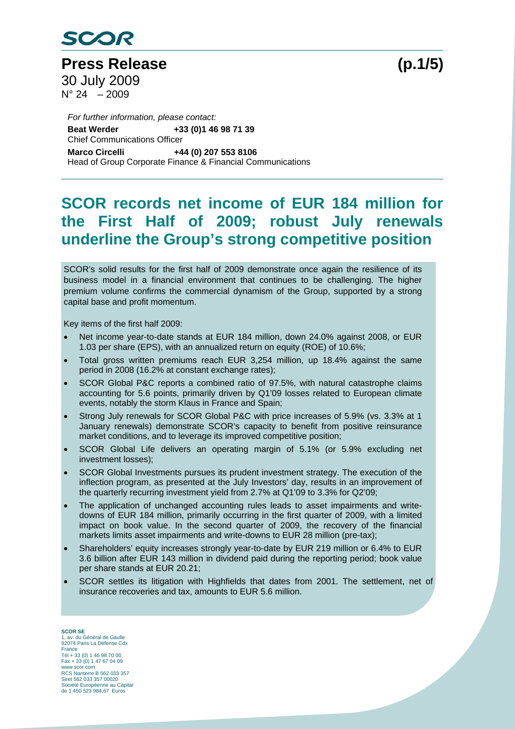

**Press Release (p.1/5)**  30 July 2009  $N^{\circ} 24 - 2009$ 

Chief Communications Officer *For further information, please contact:*  **Beat Werder +33 (0)1 46 98 71 39 Marco Circelli +44 (0) 207 553 8106**  Head of Group Corporate Finance & Financial Communications

### **SCOR records net income of EUR 184 million for the First Half of 2009; robust July renewals underline the Group's strong competitive position**

SCOR's solid results for the first half of 2009 demonstrate once again the resilience of its business model in a financial environment that continues to be challenging. The higher premium volume confirms the commercial dynamism of the Group, supported by a strong capital base and profit momentum.

Key items of the first half 2009:

- Net income year-to-date stands at EUR 184 million, down 24.0% against 2008, or EUR 1.03 per share (EPS), with an annualized return on equity (ROE) of 10.6%;
- Total gross written premiums reach EUR 3,254 million, up 18.4% against the same period in 2008 (16.2% at constant exchange rates);
- SCOR Global P&C reports a combined ratio of 97.5%, with natural catastrophe claims accounting for 5.6 points, primarily driven by Q1'09 losses related to European climate events, notably the storm Klaus in France and Spain;
- Strong July renewals for SCOR Global P&C with price increases of 5.9% (vs. 3.3% at 1 January renewals) demonstrate SCOR's capacity to benefit from positive reinsurance market conditions, and to leverage its improved competitive position;
- SCOR Global Life delivers an operating margin of 5.1% (or 5.9% excluding net investment losses);
- SCOR Global Investments pursues its prudent investment strategy. The execution of the inflection program, as presented at the July Investors' day, results in an improvement of the quarterly recurring investment yield from 2.7% at Q1'09 to 3.3% for Q2'09;
- The application of unchanged accounting rules leads to asset impairments and writedowns of EUR 184 million, primarily occurring in the first quarter of 2009, with a limited impact on book value. In the second quarter of 2009, the recovery of the financial markets limits asset impairments and write-downs to EUR 28 million (pre-tax);
- Shareholders' equity increases strongly year-to-date by EUR 219 million or 6.4% to EUR 3.6 billion after EUR 143 million in dividend paid during the reporting period; book value per share stands at EUR 20.21;
- SCOR settles its litigation with Highfields that dates from 2001. The settlement, net of insurance recoveries and tax, amounts to EUR 5.6 million.

**SCOR SE**  1, av. du Général de Gaulle 92074 Paris La Défense Cdx France Tél + 33 (0) 1 46 98 70 00 Fax + 33 (0) 1 47 67 04 09 www.scor.com RCS Nanterre B 562 033 357 Siret 562 033 357 00020 Société Européenne au Capital de 1 450 523 984,67 Euros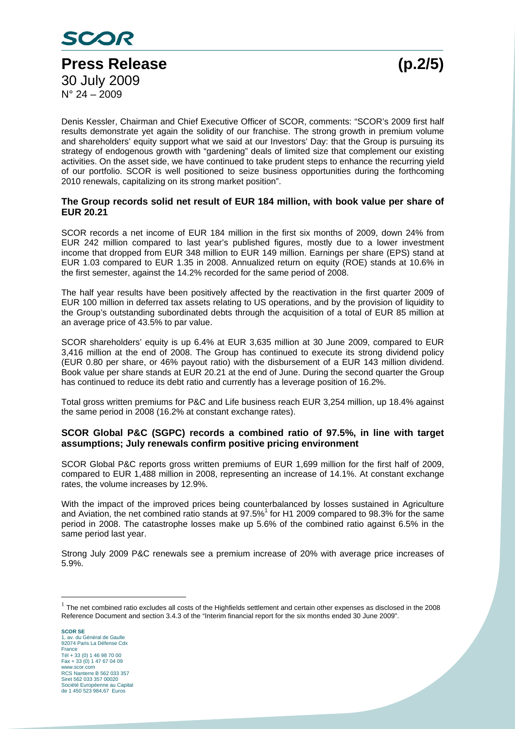

Denis Kessler, Chairman and Chief Executive Officer of SCOR, comments: "SCOR's 2009 first half results demonstrate yet again the solidity of our franchise. The strong growth in premium volume and shareholders' equity support what we said at our Investors' Day: that the Group is pursuing its strategy of endogenous growth with "gardening" deals of limited size that complement our existing activities. On the asset side, we have continued to take prudent steps to enhance the recurring yield of our portfolio. SCOR is well positioned to seize business opportunities during the forthcoming 2010 renewals, capitalizing on its strong market position".

### **The Group records solid net result of EUR 184 million, with book value per share of EUR 20.21**

SCOR records a net income of EUR 184 million in the first six months of 2009, down 24% from EUR 242 million compared to last year's published figures, mostly due to a lower investment income that dropped from EUR 348 million to EUR 149 million. Earnings per share (EPS) stand at EUR 1.03 compared to EUR 1.35 in 2008. Annualized return on equity (ROE) stands at 10.6% in the first semester, against the 14.2% recorded for the same period of 2008.

The half year results have been positively affected by the reactivation in the first quarter 2009 of EUR 100 million in deferred tax assets relating to US operations, and by the provision of liquidity to the Group's outstanding subordinated debts through the acquisition of a total of EUR 85 million at an average price of 43.5% to par value.

SCOR shareholders' equity is up 6.4% at EUR 3,635 million at 30 June 2009, compared to EUR 3,416 million at the end of 2008. The Group has continued to execute its strong dividend policy (EUR 0.80 per share, or 46% payout ratio) with the disbursement of a EUR 143 million dividend. Book value per share stands at EUR 20.21 at the end of June. During the second quarter the Group has continued to reduce its debt ratio and currently has a leverage position of 16.2%.

Total gross written premiums for P&C and Life business reach EUR 3,254 million, up 18.4% against the same period in 2008 (16.2% at constant exchange rates).

#### **SCOR Global P&C (SGPC) records a combined ratio of 97.5%, in line with target assumptions; July renewals confirm positive pricing environment**

SCOR Global P&C reports gross written premiums of EUR 1,699 million for the first half of 2009, compared to EUR 1,488 million in 2008, representing an increase of 14.1%. At constant exchange rates, the volume increases by 12.9%.

With the impact of the improved prices being counterbalanced by losses sustained in Agriculture and Aviation, the net combined ratio stands at  $97.5\%$ <sup>1</sup> for H1 2009 compared to 98.3% for the same period in 2008. The catastrophe losses make up 5.6% of the combined ratio against 6.5% in the same period last year.

Strong July 2009 P&C renewals see a premium increase of 20% with average price increases of 5.9%.

 $\overline{a}$ 

 $1$  The net combined ratio excludes all costs of the Highfields settlement and certain other expenses as disclosed in the 2008 Reference Document and section 3.4.3 of the "Interim financial report for the six months ended 30 June 2009".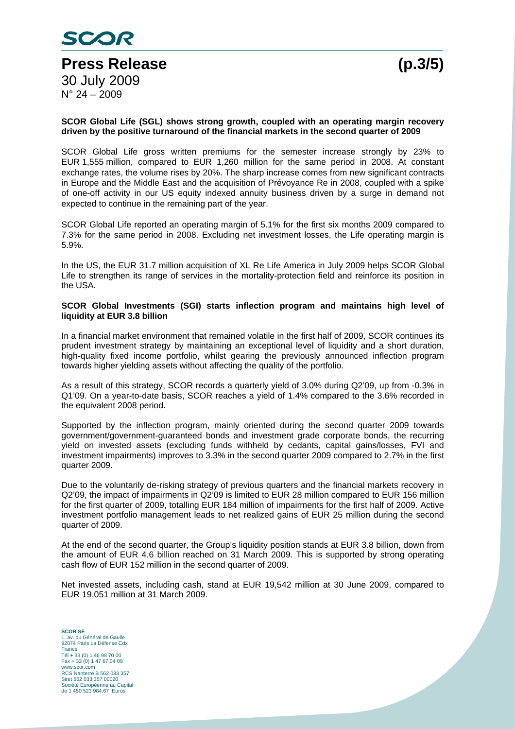

#### **SCOR Global Life (SGL) shows strong growth, coupled with an operating margin recovery driven by the positive turnaround of the financial markets in the second quarter of 2009**

SCOR Global Life gross written premiums for the semester increase strongly by 23% to EUR 1,555 million, compared to EUR 1,260 million for the same period in 2008. At constant exchange rates, the volume rises by 20%. The sharp increase comes from new significant contracts in Europe and the Middle East and the acquisition of Prévoyance Re in 2008, coupled with a spike of one-off activity in our US equity indexed annuity business driven by a surge in demand not expected to continue in the remaining part of the year.

SCOR Global Life reported an operating margin of 5.1% for the first six months 2009 compared to 7.3% for the same period in 2008. Excluding net investment losses, the Life operating margin is 5.9%.

In the US, the EUR 31.7 million acquisition of XL Re Life America in July 2009 helps SCOR Global Life to strengthen its range of services in the mortality-protection field and reinforce its position in the USA.

#### **SCOR Global Investments (SGI) starts inflection program and maintains high level of liquidity at EUR 3.8 billion**

In a financial market environment that remained volatile in the first half of 2009, SCOR continues its prudent investment strategy by maintaining an exceptional level of liquidity and a short duration, high-quality fixed income portfolio, whilst gearing the previously announced inflection program towards higher yielding assets without affecting the quality of the portfolio.

As a result of this strategy, SCOR records a quarterly yield of 3.0% during Q2'09, up from -0.3% in Q1'09. On a year-to-date basis, SCOR reaches a yield of 1.4% compared to the 3.6% recorded in the equivalent 2008 period.

Supported by the inflection program, mainly oriented during the second quarter 2009 towards government/government-guaranteed bonds and investment grade corporate bonds, the recurring yield on invested assets (excluding funds withheld by cedants, capital gains/losses, FVI and investment impairments) improves to 3.3% in the second quarter 2009 compared to 2.7% in the first quarter 2009.

Due to the voluntarily de-risking strategy of previous quarters and the financial markets recovery in Q2'09, the impact of impairments in Q2'09 is limited to EUR 28 million compared to EUR 156 million for the first quarter of 2009, totalling EUR 184 million of impairments for the first half of 2009. Active investment portfolio management leads to net realized gains of EUR 25 million during the second quarter of 2009.

At the end of the second quarter, the Group's liquidity position stands at EUR 3.8 billion, down from the amount of EUR 4.6 billion reached on 31 March 2009. This is supported by strong operating cash flow of EUR 152 million in the second quarter of 2009.

Net invested assets, including cash, stand at EUR 19,542 million at 30 June 2009, compared to EUR 19,051 million at 31 March 2009.

**SCOR SE**  1, av. du Général de Gaulle 92074 Paris La Défense Cdx France Tél + 33 (0) 1 46 98 70 00 Fax + 33 (0) 1 47 67 04 09 www.scor.com RCS Nanterre B 562 033 357 Siret 562 033 357 00020 Société Européenne au Capital de 1 450 523 984,67 Euros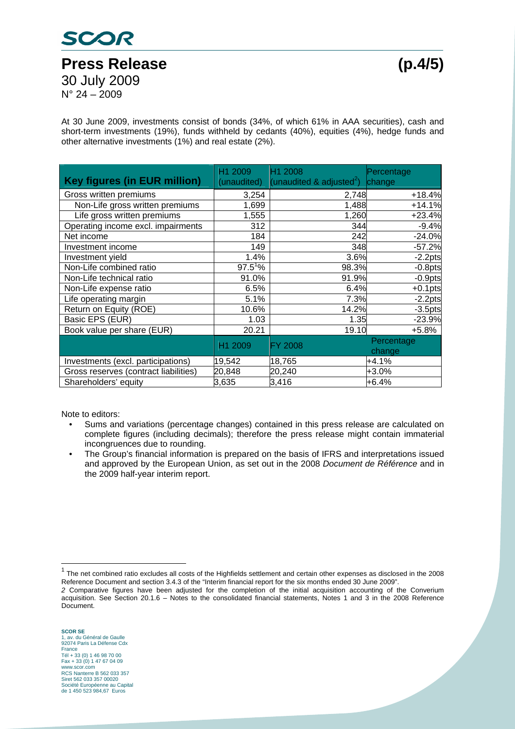# SCOR **Press Release (p.4/5)**  30 July 2009

 $N^{\circ}$  24 – 2009

At 30 June 2009, investments consist of bonds (34%, of which 61% in AAA securities), cash and short-term investments (19%), funds withheld by cedants (40%), equities (4%), hedge funds and other alternative investments (1%) and real estate (2%).

| <b>Key figures (in EUR million)</b>   | H1 2009<br>(unaudited) | H1 2008<br>(unaudited & adjusted <sup>2</sup> ) | Percentage<br>change |
|---------------------------------------|------------------------|-------------------------------------------------|----------------------|
| Gross written premiums                | 3,254                  | 2,748                                           | $+18.4%$             |
| Non-Life gross written premiums       | 1,699                  | 1,488                                           | $+14.1%$             |
| Life gross written premiums           | 1,555                  | 1,260                                           | $+23.4%$             |
| Operating income excl. impairments    | 312                    | 344                                             | $-9.4%$              |
| Net income                            | 184                    | 242                                             | $-24.0%$             |
| Investment income                     | 149                    | 348                                             | $-57.2%$             |
| Investment yield                      | 1.4%                   | 3.6%                                            | $-2.2$ pts           |
| Non-Life combined ratio               | $97.5^{1}\%$           | 98.3%                                           | $-0.8$ pts           |
| Non-Life technical ratio              | 91.0%                  | 91.9%                                           | $-0.9$ pts           |
| Non-Life expense ratio                | 6.5%                   | 6.4%                                            | $+0.1$ pts           |
| Life operating margin                 | 5.1%                   | 7.3%                                            | $-2.2$ pts           |
| Return on Equity (ROE)                | 10.6%                  | 14.2%                                           | $-3.5$ pts           |
| Basic EPS (EUR)                       | 1.03                   | 1.35                                            | $-23.9%$             |
| Book value per share (EUR)            | 20.21                  | 19.10                                           | $+5.8%$              |
|                                       | H1 2009                | <b>FY 2008</b>                                  | Percentage<br>change |
| Investments (excl. participations)    | 19,542                 | 18,765                                          | +4.1%                |
| Gross reserves (contract liabilities) | 20,848                 | 20,240                                          | $+3.0%$              |
| Shareholders' equity                  | 3,635                  | 3,416                                           | +6.4%                |

Note to editors:

- Sums and variations (percentage changes) contained in this press release are calculated on complete figures (including decimals); therefore the press release might contain immaterial incongruences due to rounding.
- The Group's financial information is prepared on the basis of IFRS and interpretations issued and approved by the European Union, as set out in the 2008 *Document de Référence* and in the 2009 half-year interim report.

The net combined ratio excludes all costs of the Highfields settlement and certain other expenses as disclosed in the 2008 Reference Document and section 3.4.3 of the "Interim financial report for the six months ended 30 June 2009".

*<sup>2</sup>* Comparative figures have been adjusted for the completion of the initial acquisition accounting of the Converium acquisition. See Section 20.1.6 – Notes to the consolidated financial statements, Notes 1 and 3 in the 2008 Reference Document.